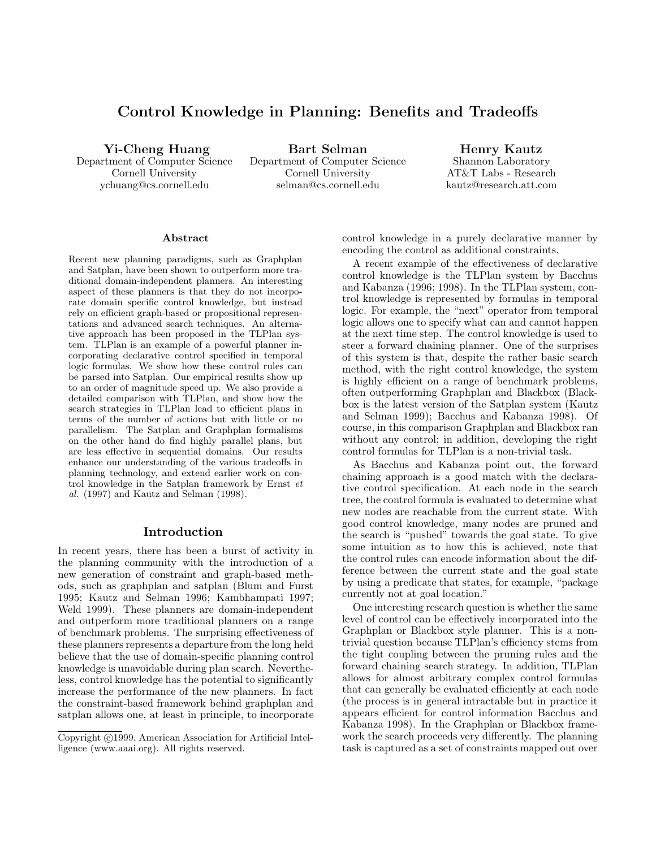# Control Knowledge in Planning: Benefits and Tradeoffs

Yi-Cheng Huang

Department of Computer Science Cornell University ychuang@cs.cornell.edu

Bart Selman Department of Computer Science Cornell University selman@cs.cornell.edu

Henry Kautz Shannon Laboratory AT&T Labs - Research kautz@research.att.com

#### Abstract

Recent new planning paradigms, such as Graphplan and Satplan, have been shown to outperform more traditional domain-independent planners. An interesting aspect of these planners is that they do not incorporate domain specific control knowledge, but instead rely on efficient graph-based or propositional representations and advanced search techniques. An alternative approach has been proposed in the TLPlan system. TLPlan is an example of a powerful planner incorporating declarative control specified in temporal logic formulas. We show how these control rules can be parsed into Satplan. Our empirical results show up to an order of magnitude speed up. We also provide a detailed comparison with TLPlan, and show how the search strategies in TLPlan lead to efficient plans in terms of the number of actions but with little or no parallelism. The Satplan and Graphplan formalisms on the other hand do find highly parallel plans, but are less effective in sequential domains. Our results enhance our understanding of the various tradeoffs in planning technology, and extend earlier work on control knowledge in the Satplan framework by Ernst et al. (1997) and Kautz and Selman (1998).

## Introduction

In recent years, there has been a burst of activity in the planning community with the introduction of a new generation of constraint and graph-based methods, such as graphplan and satplan (Blum and Furst 1995; Kautz and Selman 1996; Kambhampati 1997; Weld 1999). These planners are domain-independent and outperform more traditional planners on a range of benchmark problems. The surprising effectiveness of these planners represents a departure from the long held believe that the use of domain-specific planning control knowledge is unavoidable during plan search. Nevertheless, control knowledge has the potential to significantly increase the performance of the new planners. In fact the constraint-based framework behind graphplan and satplan allows one, at least in principle, to incorporate control knowledge in a purely declarative manner by encoding the control as additional constraints.

A recent example of the effectiveness of declarative control knowledge is the TLPlan system by Bacchus and Kabanza (1996; 1998). In the TLPlan system, control knowledge is represented by formulas in temporal logic. For example, the "next" operator from temporal logic allows one to specify what can and cannot happen at the next time step. The control knowledge is used to steer a forward chaining planner. One of the surprises of this system is that, despite the rather basic search method, with the right control knowledge, the system is highly efficient on a range of benchmark problems, often outperforming Graphplan and Blackbox (Blackbox is the latest version of the Satplan system (Kautz and Selman 1999); Bacchus and Kabanza 1998). Of course, in this comparison Graphplan and Blackbox ran without any control; in addition, developing the right control formulas for TLPlan is a non-trivial task.

As Bacchus and Kabanza point out, the forward chaining approach is a good match with the declarative control specification. At each node in the search tree, the control formula is evaluated to determine what new nodes are reachable from the current state. With good control knowledge, many nodes are pruned and the search is "pushed" towards the goal state. To give some intuition as to how this is achieved, note that the control rules can encode information about the difference between the current state and the goal state by using a predicate that states, for example, "package currently not at goal location."

One interesting research question is whether the same level of control can be effectively incorporated into the Graphplan or Blackbox style planner. This is a nontrivial question because TLPlan's efficiency stems from the tight coupling between the pruning rules and the forward chaining search strategy. In addition, TLPlan allows for almost arbitrary complex control formulas that can generally be evaluated efficiently at each node (the process is in general intractable but in practice it appears efficient for control information Bacchus and Kabanza 1998). In the Graphplan or Blackbox framework the search proceeds very differently. The planning task is captured as a set of constraints mapped out over

Copyright ©1999, American Association for Artificial Intelligence (www.aaai.org). All rights reserved.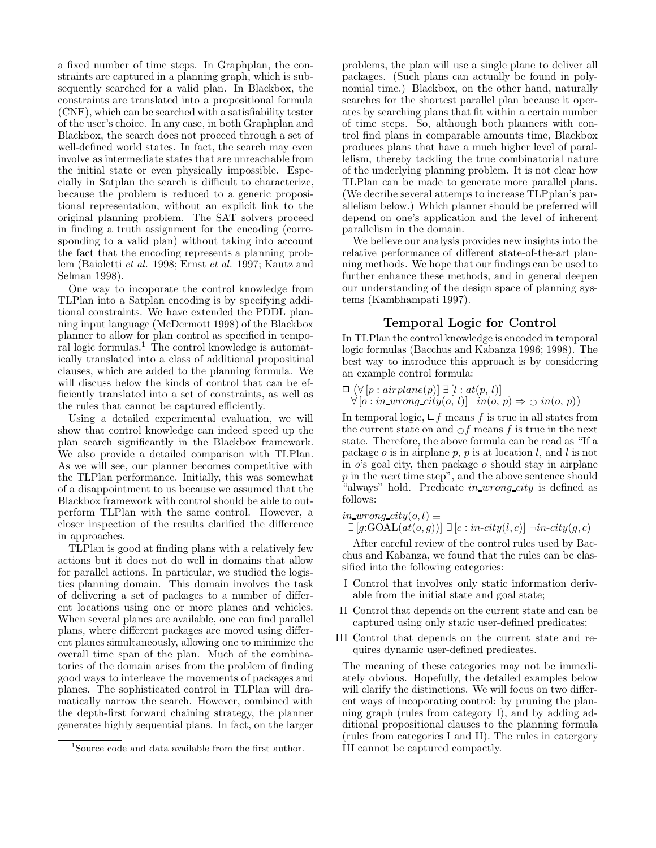a fixed number of time steps. In Graphplan, the constraints are captured in a planning graph, which is subsequently searched for a valid plan. In Blackbox, the constraints are translated into a propositional formula (CNF), which can be searched with a satisfiability tester of the user's choice. In any case, in both Graphplan and Blackbox, the search does not proceed through a set of well-defined world states. In fact, the search may even involve as intermediate states that are unreachable from the initial state or even physically impossible. Especially in Satplan the search is difficult to characterize, because the problem is reduced to a generic propositional representation, without an explicit link to the original planning problem. The SAT solvers proceed in finding a truth assignment for the encoding (corresponding to a valid plan) without taking into account the fact that the encoding represents a planning problem (Baioletti et al. 1998; Ernst et al. 1997; Kautz and Selman 1998).

One way to incoporate the control knowledge from TLPlan into a Satplan encoding is by specifying additional constraints. We have extended the PDDL planning input language (McDermott 1998) of the Blackbox planner to allow for plan control as specified in temporal logic formulas.<sup>1</sup> The control knowledge is automatically translated into a class of additional propositinal clauses, which are added to the planning formula. We will discuss below the kinds of control that can be efficiently translated into a set of constraints, as well as the rules that cannot be captured efficiently.

Using a detailed experimental evaluation, we will show that control knowledge can indeed speed up the plan search significantly in the Blackbox framework. We also provide a detailed comparison with TLPlan. As we will see, our planner becomes competitive with the TLPlan performance. Initially, this was somewhat of a disappointment to us because we assumed that the Blackbox framework with control should be able to outperform TLPlan with the same control. However, a closer inspection of the results clarified the difference in approaches.

TLPlan is good at finding plans with a relatively few actions but it does not do well in domains that allow for parallel actions. In particular, we studied the logistics planning domain. This domain involves the task of delivering a set of packages to a number of different locations using one or more planes and vehicles. When several planes are available, one can find parallel plans, where different packages are moved using different planes simultaneously, allowing one to minimize the overall time span of the plan. Much of the combinatorics of the domain arises from the problem of finding good ways to interleave the movements of packages and planes. The sophisticated control in TLPlan will dramatically narrow the search. However, combined with the depth-first forward chaining strategy, the planner generates highly sequential plans. In fact, on the larger

problems, the plan will use a single plane to deliver all packages. (Such plans can actually be found in polynomial time.) Blackbox, on the other hand, naturally searches for the shortest parallel plan because it operates by searching plans that fit within a certain number of time steps. So, although both planners with control find plans in comparable amounts time, Blackbox produces plans that have a much higher level of parallelism, thereby tackling the true combinatorial nature of the underlying planning problem. It is not clear how TLPlan can be made to generate more parallel plans. (We decribe several attemps to increase TLPplan's parallelism below.) Which planner should be preferred will depend on one's application and the level of inherent parallelism in the domain.

We believe our analysis provides new insights into the relative performance of different state-of-the-art planning methods. We hope that our findings can be used to further enhance these methods, and in general deepen our understanding of the design space of planning systems (Kambhampati 1997).

#### Temporal Logic for Control

In TLPlan the control knowledge is encoded in temporal logic formulas (Bacchus and Kabanza 1996; 1998). The best way to introduce this approach is by considering an example control formula:

$$
\Box \ (\forall [p: airplane(p)] \ \exists [l:at(p, l)]\forall [o:in\_wrong\_city(o, l)] \ \ in(o, p) \Rightarrow \bigcirc in(o, p))
$$

In temporal logic,  $\Box f$  means f is true in all states from the current state on and  $\bigcirc f$  means f is true in the next state. Therefore, the above formula can be read as "If a package  $o$  is in airplane  $p$ ,  $p$  is at location  $l$ , and  $l$  is not in  $o$ 's goal city, then package  $o$  should stay in airplane p in the next time step", and the above sentence should "always" hold. Predicate in wrong city is defined as follows:

#### *in\_wrong\_city*( $o, l$ ) ≡  $\exists \left[ g\text{:GOAL}(at(o,g)) \right] \: \exists \left[ c: \mathit{in-city}(l,c) \right] \: \neg \mathit{in-city}(q,c)$

After careful review of the control rules used by Bacchus and Kabanza, we found that the rules can be classified into the following categories:

- I Control that involves only static information derivable from the initial state and goal state;
- II Control that depends on the current state and can be captured using only static user-defined predicates;
- III Control that depends on the current state and requires dynamic user-defined predicates.

The meaning of these categories may not be immediately obvious. Hopefully, the detailed examples below will clarify the distinctions. We will focus on two different ways of incoporating control: by pruning the planning graph (rules from category I), and by adding additional propositional clauses to the planning formula (rules from categories I and II). The rules in catergory III cannot be captured compactly.

<sup>&</sup>lt;sup>1</sup>Source code and data available from the first author.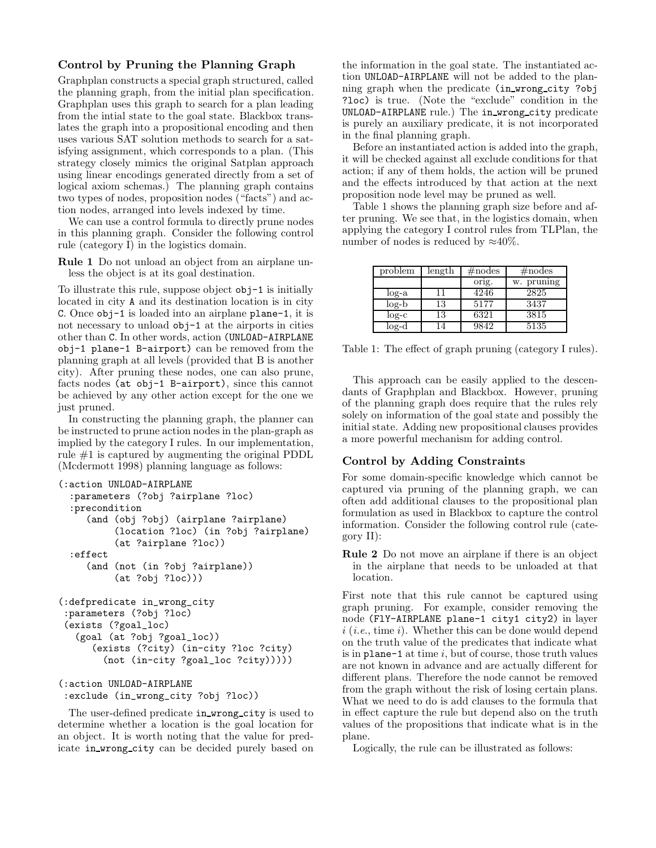# Control by Pruning the Planning Graph

Graphplan constructs a special graph structured, called the planning graph, from the initial plan specification. Graphplan uses this graph to search for a plan leading from the intial state to the goal state. Blackbox translates the graph into a propositional encoding and then uses various SAT solution methods to search for a satisfying assignment, which corresponds to a plan. (This strategy closely mimics the original Satplan approach using linear encodings generated directly from a set of logical axiom schemas.) The planning graph contains two types of nodes, proposition nodes ("facts") and action nodes, arranged into levels indexed by time.

We can use a control formula to directly prune nodes in this planning graph. Consider the following control rule (category I) in the logistics domain.

Rule 1 Do not unload an object from an airplane unless the object is at its goal destination.

To illustrate this rule, suppose object obj-1 is initially located in city A and its destination location is in city C. Once obj-1 is loaded into an airplane plane-1, it is not necessary to unload obj-1 at the airports in cities other than C. In other words, action (UNLOAD-AIRPLANE obj-1 plane-1 B-airport) can be removed from the planning graph at all levels (provided that B is another city). After pruning these nodes, one can also prune, facts nodes (at obj-1 B-airport), since this cannot be achieved by any other action except for the one we just pruned.

In constructing the planning graph, the planner can be instructed to prune action nodes in the plan-graph as implied by the category I rules. In our implementation, rule #1 is captured by augmenting the original PDDL (Mcdermott 1998) planning language as follows:

```
(:action UNLOAD-AIRPLANE
```

```
:parameters (?obj ?airplane ?loc)
  :precondition
     (and (obj ?obj) (airplane ?airplane)
          (location ?loc) (in ?obj ?airplane)
          (at ?airplane ?loc))
 :effect
     (and (not (in ?obj ?airplane))
          (at ?obj ?loc)))
(:defpredicate in_wrong_city
:parameters (?obj ?loc)
(exists (?goal_loc)
   (goal (at ?obj ?goal_loc))
      (exists (?city) (in-city ?loc ?city)
        (not (in-city ?goal_loc ?city)))))
```

```
(:action UNLOAD-AIRPLANE
:exclude (in_wrong_city ?obj ?loc))
```
The user-defined predicate in wrong city is used to determine whether a location is the goal location for an object. It is worth noting that the value for predicate in wrong city can be decided purely based on

the information in the goal state. The instantiated action UNLOAD-AIRPLANE will not be added to the planning graph when the predicate (in wrong city ?obj ?loc) is true. (Note the "exclude" condition in the UNLOAD-AIRPLANE rule.) The in wrong city predicate is purely an auxiliary predicate, it is not incorporated in the final planning graph.

Before an instantiated action is added into the graph, it will be checked against all exclude conditions for that action; if any of them holds, the action will be pruned and the effects introduced by that action at the next proposition node level may be pruned as well.

Table 1 shows the planning graph size before and after pruning. We see that, in the logistics domain, when applying the category I control rules from TLPlan, the number of nodes is reduced by  $\approx 40\%$ .

| problem | length | $\#\text{nodes}$ | $\#\text{nodes}$ |
|---------|--------|------------------|------------------|
|         |        | orig.            | w. pruning       |
| $log-a$ | 11     | 4246             | 2825             |
| $log-b$ | 13     | 5177             | 3437             |
| $log-c$ | 13     | 6321             | 3815             |
| $log-d$ | 14     | 9842             | 5135             |

Table 1: The effect of graph pruning (category I rules).

This approach can be easily applied to the descendants of Graphplan and Blackbox. However, pruning of the planning graph does require that the rules rely solely on information of the goal state and possibly the initial state. Adding new propositional clauses provides a more powerful mechanism for adding control.

# Control by Adding Constraints

For some domain-specific knowledge which cannot be captured via pruning of the planning graph, we can often add additional clauses to the propositional plan formulation as used in Blackbox to capture the control information. Consider the following control rule (category II):

Rule 2 Do not move an airplane if there is an object in the airplane that needs to be unloaded at that location.

First note that this rule cannot be captured using graph pruning. For example, consider removing the node (FlY-AIRPLANE plane-1 city1 city2) in layer  $i$  (*i.e.*, time *i*). Whether this can be done would depend on the truth value of the predicates that indicate what is in plane-1 at time  $i$ , but of course, those truth values are not known in advance and are actually different for different plans. Therefore the node cannot be removed from the graph without the risk of losing certain plans. What we need to do is add clauses to the formula that in effect capture the rule but depend also on the truth values of the propositions that indicate what is in the plane.

Logically, the rule can be illustrated as follows: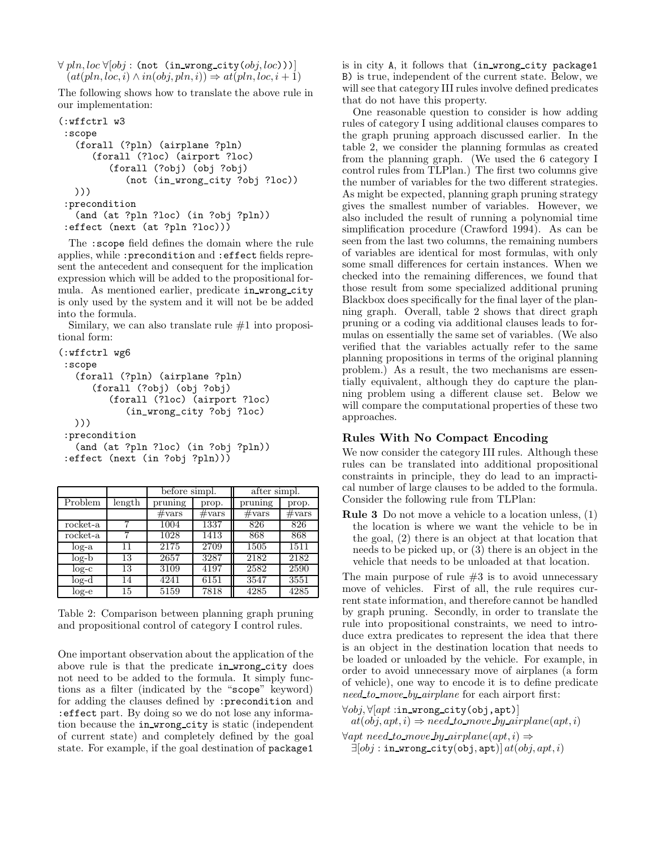$\forall$  pln, loc  $\forall$ [obj : (not (in\_wrong\_city(obj, loc)))]  $(at(pln, loc, i) \wedge in(obj, pln, i)) \Rightarrow at(pln, loc, i + 1)$ 

The following shows how to translate the above rule in our implementation:

```
(:wffctrl w3
:scope
   (forall (?pln) (airplane ?pln)
      (forall (?loc) (airport ?loc)
         (forall (?obj) (obj ?obj)
            (not (in_wrong_city ?obj ?loc))
  )))
:precondition
   (and (at ?pln ?loc) (in ?obj ?pln))
:effect (next (at ?pln ?loc)))
```
The :scope field defines the domain where the rule applies, while :precondition and :effect fields represent the antecedent and consequent for the implication expression which will be added to the propositional formula. As mentioned earlier, predicate in wrong city is only used by the system and it will not be be added into the formula.

Similary, we can also translate rule #1 into propositional form:

```
(:wffctrl wg6
:scope
   (forall (?pln) (airplane ?pln)
      (forall (?obj) (obj ?obj)
         (forall (?loc) (airport ?loc)
            (in_wrong_city ?obj ?loc)
  )))
:precondition
   (and (at ?pln ?loc) (in ?obj ?pln))
:effect (next (in ?obj ?pln)))
```

|          |        | before simpl.   |                 | after simpl.    |                 |  |
|----------|--------|-----------------|-----------------|-----------------|-----------------|--|
| Problem  | length | pruning         | prop.           | pruning         | prop.           |  |
|          |        | $\#\text{vars}$ | $\#\text{vars}$ | $\#\text{vars}$ | $\#\text{vars}$ |  |
| rocket-a |        | 1004            | 1337            | 826             | 826             |  |
| rocket-a |        | 1028            | 1413            | 868             | 868             |  |
| $log-a$  | 11     | 2175            | 2709            | 1505            | 1511            |  |
| $log-b$  | 13     | 2657            | 3287            | 2182            | 2182            |  |
| $log-c$  | 13     | 3109            | 4197            | 2582            | 2590            |  |
| $log-d$  | 14     | 4241            | 6151            | 3547            | 3551            |  |
| $log-e$  | 15     | 5159            | 7818            | 4285            | 4285            |  |

Table 2: Comparison between planning graph pruning and propositional control of category I control rules.

One important observation about the application of the above rule is that the predicate in wrong city does not need to be added to the formula. It simply functions as a filter (indicated by the "scope" keyword) for adding the clauses defined by :precondition and :effect part. By doing so we do not lose any information because the in wrong city is static (independent of current state) and completely defined by the goal state. For example, if the goal destination of package1

is in city A, it follows that (in wrong city package1 B) is true, independent of the current state. Below, we will see that category III rules involve defined predicates that do not have this property.

One reasonable question to consider is how adding rules of category I using additional clauses compares to the graph pruning approach discussed earlier. In the table 2, we consider the planning formulas as created from the planning graph. (We used the 6 category I control rules from TLPlan.) The first two columns give the number of variables for the two different strategies. As might be expected, planning graph pruning strategy gives the smallest number of variables. However, we also included the result of running a polynomial time simplification procedure (Crawford 1994). As can be seen from the last two columns, the remaining numbers of variables are identical for most formulas, with only some small differences for certain instances. When we checked into the remaining differences, we found that those result from some specialized additional pruning Blackbox does specifically for the final layer of the planning graph. Overall, table 2 shows that direct graph pruning or a coding via additional clauses leads to formulas on essentially the same set of variables. (We also verified that the variables actually refer to the same planning propositions in terms of the original planning problem.) As a result, the two mechanisms are essentially equivalent, although they do capture the planning problem using a different clause set. Below we will compare the computational properties of these two approaches.

#### Rules With No Compact Encoding

We now consider the category III rules. Although these rules can be translated into additional propositional constraints in principle, they do lead to an impractical number of large clauses to be added to the formula. Consider the following rule from TLPlan:

Rule 3 Do not move a vehicle to a location unless, (1) the location is where we want the vehicle to be in the goal, (2) there is an object at that location that needs to be picked up, or (3) there is an object in the vehicle that needs to be unloaded at that location.

The main purpose of rule  $#3$  is to avoid unnecessary move of vehicles. First of all, the rule requires current state information, and therefore cannot be handled by graph pruning. Secondly, in order to translate the rule into propositional constraints, we need to introduce extra predicates to represent the idea that there is an object in the destination location that needs to be loaded or unloaded by the vehicle. For example, in order to avoid unnecessary move of airplanes (a form of vehicle), one way to encode it is to define predicate need to move by airplane for each airport first:

 $\forall obj, \forall [apt:in_wrong_city(obj,apt)]$  $at(obj, apt, i) \Rightarrow need_to_move_by_airplane(qpt, i)$ 

 $\forall apt\ need_to{\text{-}move\,by{\text{-}}airplane(qpt,i)} \Rightarrow$  $\exists [obj : \texttt{in\_wrong\_city}(\texttt{obj}, \texttt{apt})] \, \mathit{at}(\mathit{obj}, \mathit{apt}, i)$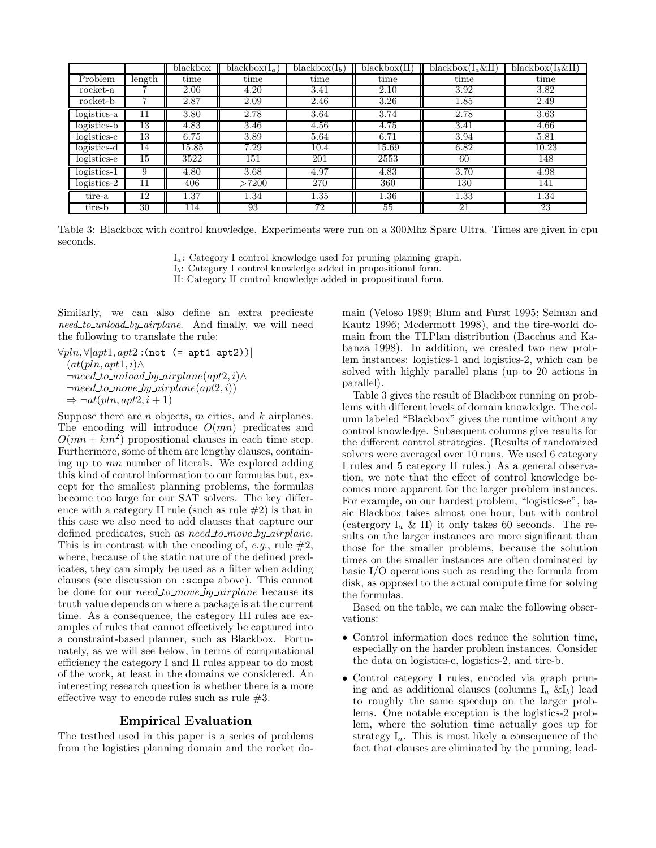|               |              | blackbox | $\overline{\text{black}}$ box $(I_a)$ | $\overline{\text{blackbox}}(I_b)$ | blackbox(II)      | blackbox $(I_a \& II)$ | blackbox $(I_b \& II)$ |
|---------------|--------------|----------|---------------------------------------|-----------------------------------|-------------------|------------------------|------------------------|
| Problem       | length       | time     | time                                  | time                              | time              | time                   | time                   |
| rocket-a      |              | 2.06     | 4.20                                  | 3.41                              | 2.10              | 3.92                   | 3.82                   |
| rocket-b      |              | 2.87     | 2.09                                  | 2.46                              | $3.\overline{26}$ | 1.85                   | 2.49                   |
| logistics-a   | $\mathbf{1}$ | 3.80     | 2.78                                  | 3.64                              | 3.74              | 2.78                   | 3.63                   |
| logistics-b   | 13           | 4.83     | 3.46                                  | 4.56                              | 4.75              | 3.41                   | 4.66                   |
| $logistics-c$ | 13           | 6.75     | 3.89                                  | 5.64                              | 6.71              | 3.94                   | 5.81                   |
| logistics-d   | 14           | 15.85    | 7.29                                  | 10.4                              | 15.69             | 6.82                   | 10.23                  |
| $logistics-e$ | 15           | 3522     | 151                                   | 201                               | 2553              | 60                     | 148                    |
| $logistics-1$ | 9            | 4.80     | 3.68                                  | 4.97                              | 4.83              | 3.70                   | 4.98                   |
| $logistics-2$ | 11           | 406      | >7200                                 | 270                               | 360               | 130                    | 141                    |
| tire-a        | 12           | 1.37     | 1.34                                  | 1.35                              | 1.36              | 1.33                   | 1.34                   |
| tire-b        | 30           | 114      | 93                                    | 72                                | 55                | 21                     | 23                     |

Table 3: Blackbox with control knowledge. Experiments were run on a 300Mhz Sparc Ultra. Times are given in cpu seconds.

 $I_a$ : Category I control knowledge used for pruning planning graph.

 $I<sub>b</sub>$ : Category I control knowledge added in propositional form.

II: Category II control knowledge added in propositional form.

Similarly, we can also define an extra predicate need to unload by airplane. And finally, we will need the following to translate the rule:

 $\forall pln, \forall [apt1, apt2:(not (=apt1 apt2))]$  $(at(pln,apt1, i) \wedge$  $\neg need\_to\_unload\_by\_airplane(apt2, i) \land$  $\neg need_to_move_by_airplane(apt2, i))$  $\Rightarrow \neg at(pln, apt2, i+1)$ 

Suppose there are  $n$  objects,  $m$  cities, and  $k$  airplanes. The encoding will introduce  $O(mn)$  predicates and  $O(mn + km^2)$  propositional clauses in each time step. Furthermore, some of them are lengthy clauses, containing up to mn number of literals. We explored adding this kind of control information to our formulas but, except for the smallest planning problems, the formulas become too large for our SAT solvers. The key difference with a category II rule (such as rule  $#2$ ) is that in this case we also need to add clauses that capture our defined predicates, such as *need to move by airplane*. This is in contrast with the encoding of, e.g., rule  $#2$ , where, because of the static nature of the defined predicates, they can simply be used as a filter when adding clauses (see discussion on :scope above). This cannot be done for our *need to move by airplane* because its truth value depends on where a package is at the current time. As a consequence, the category III rules are examples of rules that cannot effectively be captured into a constraint-based planner, such as Blackbox. Fortunately, as we will see below, in terms of computational efficiency the category I and II rules appear to do most of the work, at least in the domains we considered. An interesting research question is whether there is a more effective way to encode rules such as rule  $#3$ .

#### Empirical Evaluation

The testbed used in this paper is a series of problems from the logistics planning domain and the rocket domain (Veloso 1989; Blum and Furst 1995; Selman and Kautz 1996; Mcdermott 1998), and the tire-world domain from the TLPlan distribution (Bacchus and Kabanza 1998). In addition, we created two new problem instances: logistics-1 and logistics-2, which can be solved with highly parallel plans (up to 20 actions in parallel).

Table 3 gives the result of Blackbox running on problems with different levels of domain knowledge. The column labeled "Blackbox" gives the runtime without any control knowledge. Subsequent columns give results for the different control strategies. (Results of randomized solvers were averaged over 10 runs. We used 6 category I rules and 5 category II rules.) As a general observation, we note that the effect of control knowledge becomes more apparent for the larger problem instances. For example, on our hardest problem, "logistics-e", basic Blackbox takes almost one hour, but with control (catergory  $I_a \& II$ ) it only takes 60 seconds. The results on the larger instances are more significant than those for the smaller problems, because the solution times on the smaller instances are often dominated by basic I/O operations such as reading the formula from disk, as opposed to the actual compute time for solving the formulas.

Based on the table, we can make the following observations:

- Control information does reduce the solution time, especially on the harder problem instances. Consider the data on logistics-e, logistics-2, and tire-b.
- Control category I rules, encoded via graph pruning and as additional clauses (columns  $I_a \& I_b$ ) lead to roughly the same speedup on the larger problems. One notable exception is the logistics-2 problem, where the solution time actually goes up for strategy  $I_a$ . This is most likely a consequence of the fact that clauses are eliminated by the pruning, lead-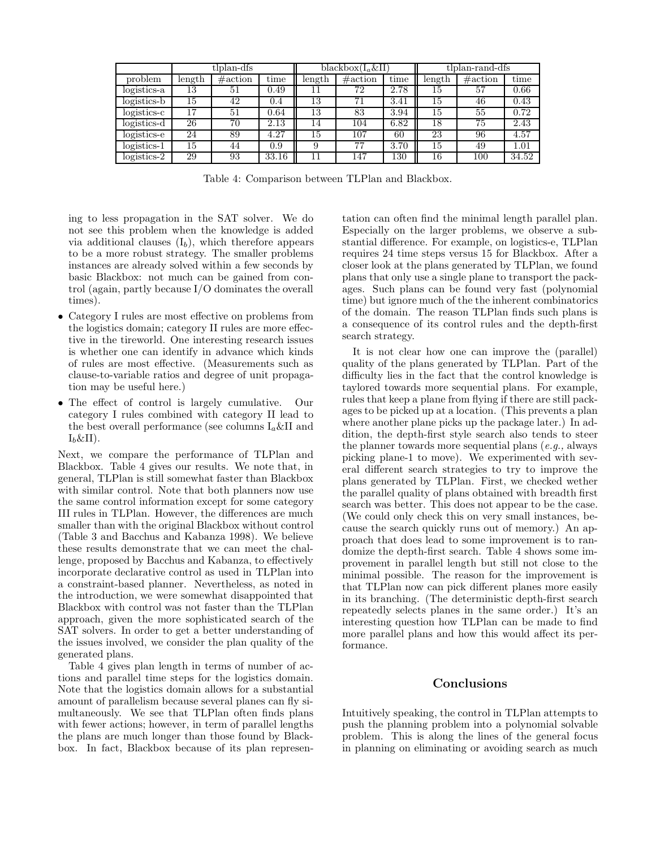|               | tlplan-dfs |             |       | blackbox $(I_a \& II)$ |             |      | tlplan-rand-dfs |             |       |
|---------------|------------|-------------|-------|------------------------|-------------|------|-----------------|-------------|-------|
| problem       | length     | $\#$ action | time  | length                 | $\#$ action | time | length          | $\#$ action | time  |
| logistics-a   | 13         | 51          | 0.49  | 11                     | 72          | 2.78 | 15              | 57          | 0.66  |
| logistics-b   | 15         | 42          | (1.4) | 13                     |             | 3.41 | 15              | 46          | 0.43  |
| logistics-c   | 17         | 51          | 0.64  | 13                     | 83          | 3.94 | 15              | 55          | 0.72  |
| logistics-d   | 26         | 70          | 2.13  | 14                     | 104         | 6.82 | 18              | 75          | 2.43  |
| logistics-e   | 24         | 89          | 4.27  | 15                     | 107         | 60   | 23              | 96          | 4.57  |
| $logistics-1$ | 15         | 44          | 0.9   |                        | 77          | 3.70 | 15              | 49          | 1.01  |
| $logistics-2$ | 29         | 93          | 33.16 |                        | 147         | 130  | 16              | 100         | 34.52 |

Table 4: Comparison between TLPlan and Blackbox.

ing to less propagation in the SAT solver. We do not see this problem when the knowledge is added via additional clauses  $(I_b)$ , which therefore appears to be a more robust strategy. The smaller problems instances are already solved within a few seconds by basic Blackbox: not much can be gained from control (again, partly because I/O dominates the overall times).

- Category I rules are most effective on problems from the logistics domain; category II rules are more effective in the tireworld. One interesting research issues is whether one can identify in advance which kinds of rules are most effective. (Measurements such as clause-to-variable ratios and degree of unit propagation may be useful here.)
- The effect of control is largely cumulative. Our category I rules combined with category II lead to the best overall performance (see columns  $I_a \& II$  and  $I_b \& II$ ).

Next, we compare the performance of TLPlan and Blackbox. Table 4 gives our results. We note that, in general, TLPlan is still somewhat faster than Blackbox with similar control. Note that both planners now use the same control information except for some category III rules in TLPlan. However, the differences are much smaller than with the original Blackbox without control (Table 3 and Bacchus and Kabanza 1998). We believe these results demonstrate that we can meet the challenge, proposed by Bacchus and Kabanza, to effectively incorporate declarative control as used in TLPlan into a constraint-based planner. Nevertheless, as noted in the introduction, we were somewhat disappointed that Blackbox with control was not faster than the TLPlan approach, given the more sophisticated search of the SAT solvers. In order to get a better understanding of the issues involved, we consider the plan quality of the generated plans.

Table 4 gives plan length in terms of number of actions and parallel time steps for the logistics domain. Note that the logistics domain allows for a substantial amount of parallelism because several planes can fly simultaneously. We see that TLPlan often finds plans with fewer actions; however, in term of parallel lengths the plans are much longer than those found by Blackbox. In fact, Blackbox because of its plan represen-

tation can often find the minimal length parallel plan. Especially on the larger problems, we observe a substantial difference. For example, on logistics-e, TLPlan requires 24 time steps versus 15 for Blackbox. After a closer look at the plans generated by TLPlan, we found plans that only use a single plane to transport the packages. Such plans can be found very fast (polynomial time) but ignore much of the the inherent combinatorics of the domain. The reason TLPlan finds such plans is a consequence of its control rules and the depth-first search strategy.

It is not clear how one can improve the (parallel) quality of the plans generated by TLPlan. Part of the difficulty lies in the fact that the control knowledge is taylored towards more sequential plans. For example, rules that keep a plane from flying if there are still packages to be picked up at a location. (This prevents a plan where another plane picks up the package later.) In addition, the depth-first style search also tends to steer the planner towards more sequential plans (e.g., always picking plane-1 to move). We experimented with several different search strategies to try to improve the plans generated by TLPlan. First, we checked wether the parallel quality of plans obtained with breadth first search was better. This does not appear to be the case. (We could only check this on very small instances, because the search quickly runs out of memory.) An approach that does lead to some improvement is to randomize the depth-first search. Table 4 shows some improvement in parallel length but still not close to the minimal possible. The reason for the improvement is that TLPlan now can pick different planes more easily in its branching. (The deterministic depth-first search repeatedly selects planes in the same order.) It's an interesting question how TLPlan can be made to find more parallel plans and how this would affect its performance.

# Conclusions

Intuitively speaking, the control in TLPlan attempts to push the planning problem into a polynomial solvable problem. This is along the lines of the general focus in planning on eliminating or avoiding search as much